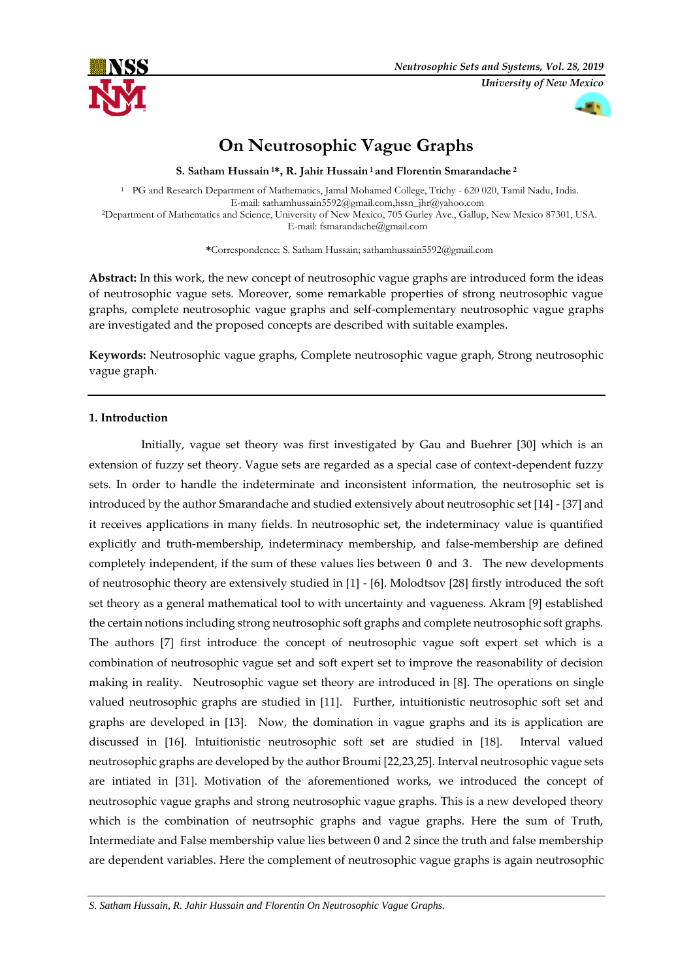

# **On Neutrosophic Vague Graphs**

**S. Satham Hussain <sup>1</sup>\*, R. Jahir Hussain <sup>1</sup>and Florentin Smarandache <sup>2</sup>**

<sup>1</sup> PG and Research Department of Mathematics, Jamal Mohamed College, Trichy - 620 020, Tamil Nadu, India. E-mail: sathamhussain5592@gmail.com,hssn\_jhr@yahoo.com <sup>2</sup>Department of Mathematics and Science, University of New Mexico, 705 Gurley Ave., Gallup, New Mexico 87301, USA. E-mail: fsmarandache@gmail.com

**\***Correspondence: S. Satham Hussain; sathamhussain5592@gmail.com

**Abstract:** In this work, the new concept of neutrosophic vague graphs are introduced form the ideas of neutrosophic vague sets. Moreover, some remarkable properties of strong neutrosophic vague graphs, complete neutrosophic vague graphs and self-complementary neutrosophic vague graphs are investigated and the proposed concepts are described with suitable examples.

**Keywords:** Neutrosophic vague graphs, Complete neutrosophic vague graph, Strong neutrosophic vague graph.

## **1. Introduction**

 Initially, vague set theory was first investigated by Gau and Buehrer [30] which is an extension of fuzzy set theory. Vague sets are regarded as a special case of context-dependent fuzzy sets. In order to handle the indeterminate and inconsistent information, the neutrosophic set is introduced by the author Smarandache and studied extensively about neutrosophic set [14] - [37] and it receives applications in many fields. In neutrosophic set, the indeterminacy value is quantified explicitly and truth-membership, indeterminacy membership, and false-membership are defined completely independent, if the sum of these values lies between 0 and 3. The new developments of neutrosophic theory are extensively studied in [1] - [6]. Molodtsov [28] firstly introduced the soft set theory as a general mathematical tool to with uncertainty and vagueness. Akram [9] established the certain notions including strong neutrosophic soft graphs and complete neutrosophic soft graphs. The authors [7] first introduce the concept of neutrosophic vague soft expert set which is a combination of neutrosophic vague set and soft expert set to improve the reasonability of decision making in reality. Neutrosophic vague set theory are introduced in [8]. The operations on single valued neutrosophic graphs are studied in [11]. Further, intuitionistic neutrosophic soft set and graphs are developed in [13]. Now, the domination in vague graphs and its is application are discussed in [16]. Intuitionistic neutrosophic soft set are studied in [18]. Interval valued neutrosophic graphs are developed by the author Broumi [22,23,25]. Interval neutrosophic vague sets are intiated in [31]. Motivation of the aforementioned works, we introduced the concept of neutrosophic vague graphs and strong neutrosophic vague graphs. This is a new developed theory which is the combination of neutrsophic graphs and vague graphs. Here the sum of Truth, Intermediate and False membership value lies between 0 and 2 since the truth and false membership are dependent variables. Here the complement of neutrosophic vague graphs is again neutrosophic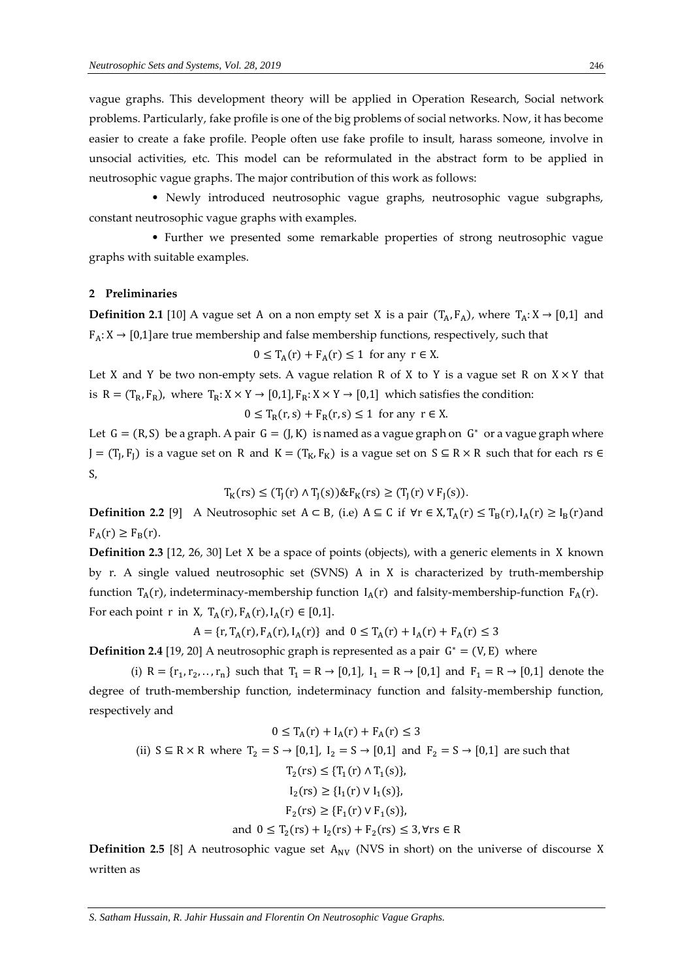vague graphs. This development theory will be applied in Operation Research, Social network problems. Particularly, fake profile is one of the big problems of social networks. Now, it has become easier to create a fake profile. People often use fake profile to insult, harass someone, involve in unsocial activities, etc. This model can be reformulated in the abstract form to be applied in neutrosophic vague graphs. The major contribution of this work as follows:

 • Newly introduced neutrosophic vague graphs, neutrosophic vague subgraphs, constant neutrosophic vague graphs with examples.

 • Further we presented some remarkable properties of strong neutrosophic vague graphs with suitable examples.

#### **2 Preliminaries**

**Definition 2.1** [10] A vague set A on a non empty set X is a pair  $(T_A, F_A)$ , where  $T_A: X \rightarrow [0,1]$  and  $F_A: X \to [0,1]$  are true membership and false membership functions, respectively, such that

$$
0 \le T_A(r) + F_A(r) \le 1
$$
 for any  $r \in X$ .

Let X and Y be two non-empty sets. A vague relation R of X to Y is a vague set R on  $X \times Y$  that is  $R = (T_R, F_R)$ , where  $T_R: X \times Y \rightarrow [0,1]$ ,  $F_R: X \times Y \rightarrow [0,1]$  which satisfies the condition:

 $0 \leq T_R(r, s) + F_R(r, s) \leq 1$  for any  $r \in X$ .

Let  $G = (R, S)$  be a graph. A pair  $G = (J, K)$  is named as a vague graph on  $G^*$  or a vague graph where  $J = (T_J, F_J)$  is a vague set on R and  $K = (T_K, F_K)$  is a vague set on  $S \subseteq R \times R$  such that for each rs  $\in$ S,

$$
T_K(rs) \le (T_J(r) \land T_J(s)) \& F_K(rs) \ge (T_J(r) \lor F_J(s)).
$$

**Definition 2.2** [9] A Neutrosophic set  $A \subset B$ , (i.e)  $A \subseteq C$  if ∀r ∈ X,  $T_A(r) \leq T_B(r)$ ,  $I_A(r) \geq I_B(r)$  and  $F_A(r) \geq F_B(r)$ .

**Definition 2.3** [12, 26, 30] Let X be a space of points (objects), with a generic elements in X known by r. A single valued neutrosophic set (SVNS) A in X is characterized by truth-membership function  $T_A(r)$ , indeterminacy-membership function  $I_A(r)$  and falsity-membership-function  $F_A(r)$ . For each point r in X,  $T_A(r)$ ,  $F_A(r)$ ,  $I_A(r) \in [0,1]$ .

 $A = \{r, T_A(r), F_A(r), I_A(r)\}\$  and  $0 \le T_A(r) + I_A(r) + F_A(r) \le 3$ 

**Definition 2.4** [19, 20] A neutrosophic graph is represented as a pair  $G^* = (V, E)$  where

(i)  $R = \{r_1, r_2, ..., r_n\}$  such that  $T_1 = R \rightarrow [0,1]$ ,  $I_1 = R \rightarrow [0,1]$  and  $F_1 = R \rightarrow [0,1]$  denote the degree of truth-membership function, indeterminacy function and falsity-membership function, respectively and

$$
0 \le T_A(r) + I_A(r) + F_A(r) \le 3
$$
  
(ii)  $S \subseteq R \times R$  where  $T_2 = S \rightarrow [0,1], I_2 = S \rightarrow [0,1]$  and  $F_2 = S \rightarrow [0,1]$  are such that  
 $T_2(rs) \le \{T_1(r) \land T_1(s)\},$   
 $I_2(rs) \ge \{I_1(r) \lor I_1(s)\},$   
 $F_2(rs) \ge \{F_1(r) \lor F_1(s)\},$   
and  $0 \le T_2(rs) + I_2(rs) + F_2(rs) \le 3, \forall rs \in R$ 

**Definition 2.5** [8] A neutrosophic vague set  $A_{\text{NV}}$  (NVS in short) on the universe of discourse X written as

*S. Satham Hussain, R. Jahir Hussain and Florentin On Neutrosophic Vague Graphs.*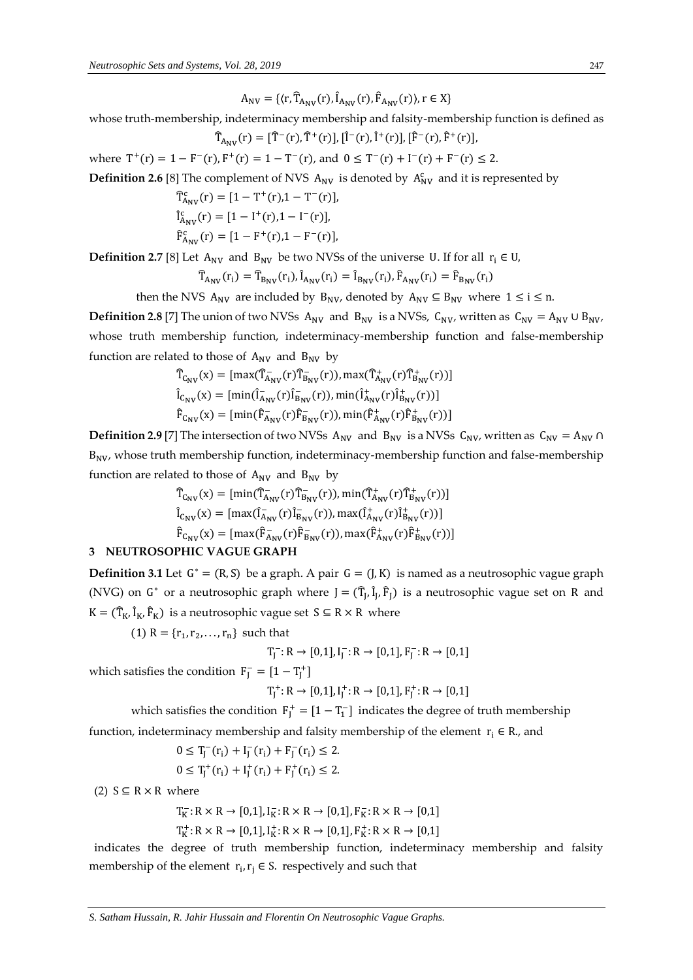$A_{\text{NV}} = \{ \langle r, \hat{T}_{A_{\text{NV}}}(r), \hat{I}_{A_{\text{NV}}}(r), \hat{F}_{A_{\text{NV}}}(r) \rangle, r \in X \}$ 

whose truth-membership, indeterminacy membership and falsity-membership function is defined as  $\widehat{T}_{A_{NV}}(r) = [\widehat{T}^{-}(r), \widehat{T}^{+}(r)], [\widehat{I}^{-}(r), \widehat{I}^{+}(r)], [\widehat{F}^{-}(r), \widehat{F}^{+}(r)],$ 

where  $T^+(r) = 1 - F^-(r)$ ,  $F^+(r) = 1 - T^-(r)$ , and  $0 \leq T^-(r) + T^-(r) + F^-(r) \leq 2$ .

**Definition 2.6** [8] The complement of NVS  $A_{\text{NV}}$  is denoted by  $A_{\text{NV}}^c$  and it is represented by

$$
\begin{aligned} \widehat{T}^c_{A_{NV}}(r) &= [1 - T^+(r), 1 - T^-(r)], \\ \widehat{I}^c_{A_{NV}}(r) &= [1 - I^+(r), 1 - I^-(r)], \\ \widehat{F}^c_{A_{NV}}(r) &= [1 - F^+(r), 1 - F^-(r)], \end{aligned}
$$

**Definition 2.7** [8] Let  $A_{\text{NV}}$  and  $B_{\text{NV}}$  be two NVSs of the universe U. If for all  $r_i \in U$ ,

$$
\widehat{T}_{A_{NV}}(r_i) = \widehat{T}_{B_{NV}}(r_i), \widehat{I}_{A_{NV}}(r_i) = \widehat{I}_{B_{NV}}(r_i), \widehat{F}_{A_{NV}}(r_i) = \widehat{F}_{B_{NV}}(r_i)
$$

then the NVS A<sub>NV</sub> are included by B<sub>NV</sub>, denoted by A<sub>NV</sub>  $\subseteq$  B<sub>NV</sub> where  $1 \le i \le n$ .

**Definition 2.8** [7] The union of two NVSs A<sub>NV</sub> and B<sub>NV</sub> is a NVSs, C<sub>NV</sub>, written as C<sub>NV</sub> = A<sub>NV</sub> ∪ B<sub>NV</sub>, whose truth membership function, indeterminacy-membership function and false-membership function are related to those of  $A_{\text{NV}}$  and  $B_{\text{NV}}$  by

$$
\begin{aligned} \hat{T}_{C_{NV}}(x) &= \left[ \max(\hat{T}_{A_{NV}}(r)\hat{T}_{B_{NV}}(r)), \max(\hat{T}_{A_{NV}}^+(r)\hat{T}_{B_{NV}}^+(r)) \right] \\ \hat{I}_{C_{NV}}(x) &= \left[ \min(\hat{I}_{A_{NV}}^-(r)\hat{I}_{B_{NV}}^-(r)), \min(\hat{I}_{A_{NV}}^+(r)\hat{I}_{B_{NV}}^+(r)) \right] \\ \hat{F}_{C_{NV}}(x) &= \left[ \min(\hat{F}_{A_{NV}}^-(r)\hat{F}_{B_{NV}}^-(r)), \min(\hat{F}_{A_{NV}}^+(r)\hat{F}_{B_{NV}}^+(r)) \right] \end{aligned}
$$

**Definition 2.9** [7] The intersection of two NVSs A<sub>NV</sub> and B<sub>NV</sub> is a NVSs C<sub>NV</sub>, written as C<sub>NV</sub> = A<sub>NV</sub> ∩  $B_{\text{NV}}$ , whose truth membership function, indeterminacy-membership function and false-membership function are related to those of  $A_{\text{NV}}$  and  $B_{\text{NV}}$  by

$$
\begin{aligned} \hat{T}_{C_{NV}}(x) &= \left[ \min(\hat{T}_{A_{NV}}(\mathbf{r}) \hat{T}_{B_{NV}}(\mathbf{r})), \min(\hat{T}_{A_{NV}}^+(\mathbf{r}) \hat{T}_{B_{NV}}^+(\mathbf{r})) \right] \\ \hat{i}_{C_{NV}}(x) &= \left[ \max(\hat{i}_{A_{NV}}(\mathbf{r}) \hat{i}_{B_{NV}}(\mathbf{r})), \max(\hat{i}_{A_{NV}}^+(\mathbf{r}) \hat{i}_{B_{NV}}^+(\mathbf{r})) \right] \\ \hat{F}_{C_{NV}}(x) &= \left[ \max(\hat{F}_{A_{NV}}(\mathbf{r}) \hat{F}_{B_{NV}}(\mathbf{r})), \max(\hat{F}_{A_{NV}}^+(\mathbf{r}) \hat{F}_{B_{NV}}^+(\mathbf{r})) \right] \end{aligned}
$$

### **3 NEUTROSOPHIC VAGUE GRAPH**

**Definition 3.1** Let  $G^* = (R, S)$  be a graph. A pair  $G = (J, K)$  is named as a neutrosophic vague graph (NVG) on G<sup>\*</sup> or a neutrosophic graph where  $J = (\hat{T}_J, \hat{I}_J, \hat{F}_J)$  is a neutrosophic vague set on R and  $K = (\hat{T}_{K}, \hat{I}_{K}, \hat{F}_{K})$  is a neutrosophic vague set  $S \subseteq R \times R$  where

 $(1)$  R =  ${r_1, r_2, ..., r_n}$  such that

$$
T_J^- \colon R \to [0,1], I_J^- \colon R \to [0,1], F_J^- \colon R \to [0,1]
$$

which satisfies the condition  $F_J^- = [1 - T_J^+]$ 

$$
T_J^+\colon R\to [0,1], I_J^+\colon R\to [0,1], F_J^+\colon R\to [0,1]
$$

which satisfies the condition  $F_J^+ = [1 - T_1^-]$  indicates the degree of truth membership

function, indeterminacy membership and falsity membership of the element  $r_i \in R$ , and

$$
0 \leq T_j^-(r_i) + I_j^-(r_i) + F_j^-(r_i) \leq 2.
$$
  

$$
0 \leq T_j^+(r_i) + I_j^+(r_i) + F_j^+(r_i) \leq 2.
$$

(2)  $S \subseteq R \times R$  where

 $T_K^-: R \times R \to [0,1], I_K^-: R \times R \to [0,1], F_K^-: R \times R \to [0,1]$ 

$$
T^+_K\!:\!R\times R\to[0,1], I^+_K\!:\!R\times R\to[0,1], F^+_K\!:\!R\times R\to[0,1]
$$

indicates the degree of truth membership function, indeterminacy membership and falsity membership of the element  $r_i$ ,  $r_j \in S$ . respectively and such that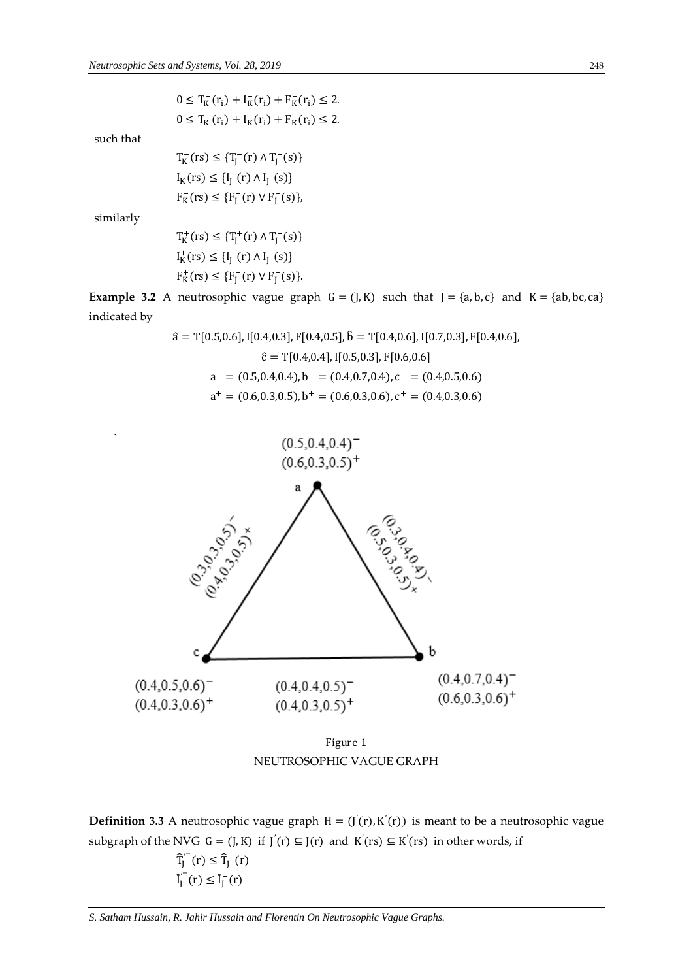$0 \leq T_K^-(r_i) + I_K^-(r_i) + F_K^-(r_i) \leq 2.$  $0 \leq T_K^+(r_i) + I_K^+(r_i) + F_K^+(r_i) \leq 2.$ 

such that

 $T_K^-(rs) \leq {T_J^-(r) \wedge T_J^-(s)}$  $I_K^-(rs) \leq {I_J^-(r) \wedge I_J^-(s)}$  $F_K^-(rs) \leq {F_J^-(r) \vee F_J^-(s)},$ 

similarly

.

 $T_K^+(rs) \leq {T_J^+(r) \wedge T_J^+(s)}$  $I_K^+(rs) \leq \{I_J^+(r) \wedge I_J^+(s)\}$  $F_K^+(rs) \leq {F_J^+(r) \vee F_J^+(s)}.$ 

**Example 3.2** A neutrosophic vague graph  $G = (J, K)$  such that  $J = \{a, b, c\}$  and  $K = \{ab, bc, ca\}$ indicated by

$$
\hat{a} = T[0.5, 0.6], I[0.4, 0.3], F[0.4, 0.5], \hat{b} = T[0.4, 0.6], I[0.7, 0.3], F[0.4, 0.6],
$$

$$
\hat{c} = T[0.4, 0.4], I[0.5, 0.3], F[0.6, 0.6]
$$

$$
a^- = (0.5, 0.4, 0.4), b^- = (0.4, 0.7, 0.4), c^- = (0.4, 0.5, 0.6)
$$

$$
a^+ = (0.6, 0.3, 0.5), b^+ = (0.6, 0.3, 0.6), c^+ = (0.4, 0.3, 0.6)
$$



Figure 1 NEUTROSOPHIC VAGUE GRAPH

**Definition 3.3** A neutrosophic vague graph  $H = (J(r), K'(r))$  is meant to be a neutrosophic vague subgraph of the NVG  $G = (J, K)$  if  $J'(r) \subseteq J(r)$  and  $K'(rs) \subseteq K'(rs)$  in other words, if

$$
\widehat{T}_J^{(-)}(r) \leq \widehat{T}_J^{-}(r)
$$
  

$$
\widehat{I}_J^{(-)}(r) \leq \widehat{I}_J^{-}(r)
$$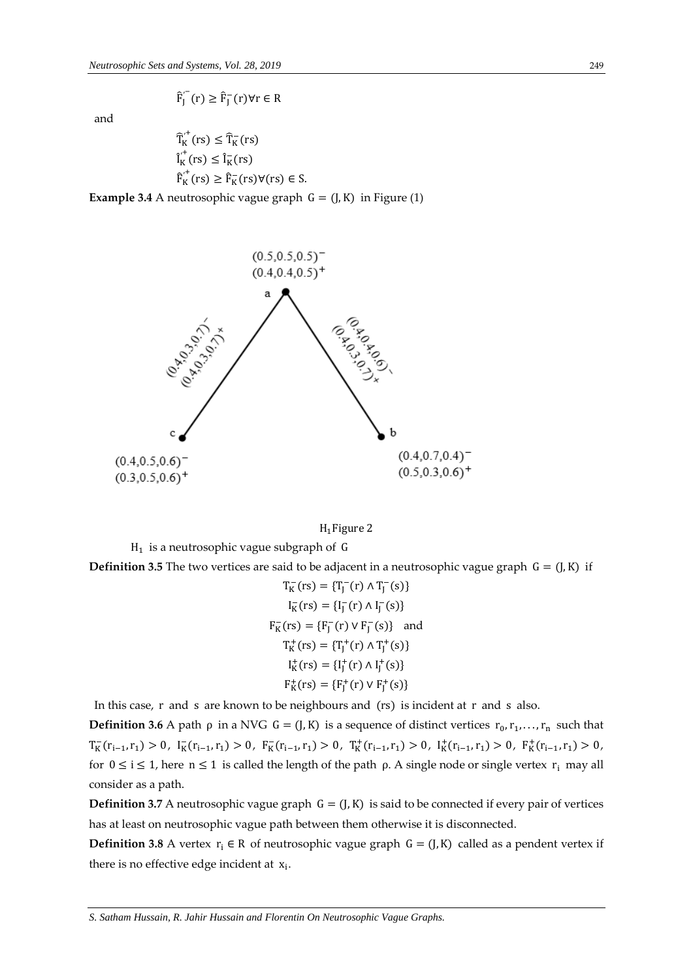$$
\hat{F}_J^{'}(r) \ge \hat{F}_J^-(r) \forall r \in R
$$

and

$$
\begin{aligned} \widehat{T}_{K}^{\prime^{+}}(rs) &\leq \widehat{T}_{K}^{-}(rs) \\ \widehat{I}_{K}^{\prime}(rs) &\leq \widehat{I}_{K}^{-}(rs) \\ \widehat{F}_{K}^{\prime^{+}}(rs) &\geq \widehat{F}_{K}^{-}(rs) \forall (rs) \in S. \end{aligned}
$$

**Example 3.4** A neutrosophic vague graph  $G = (J, K)$  in Figure (1)





 $H_1$  is a neutrosophic vague subgraph of G

**Definition 3.5** The two vertices are said to be adjacent in a neutrosophic vague graph  $G = (J, K)$  if

$$
T_K(rs) = {T_J^-(r) \land T_J^-(s)}
$$
  
\n
$$
I_K(rs) = {I_J^-(r) \land I_J^-(s)}
$$
  
\n
$$
F_K(rs) = {F_J^-(r) \lor F_J^-(s)}
$$
 and  
\n
$$
T_K^+(rs) = {T_J^+(r) \land T_J^+(s)}
$$
  
\n
$$
I_K^+(rs) = {I_J^+(r) \land I_J^+(s)}
$$
  
\n
$$
F_K^+(rs) = {F_J^+(r) \lor F_J^+(s)}
$$

In this case, r and s are known to be neighbours and (rs) is incident at r and s also.

**Definition 3.6** A path  $\rho$  in a NVG  $G = (J, K)$  is a sequence of distinct vertices  $r_0, r_1, \ldots, r_n$  such that  $T_K^-(r_{i-1},r_1) > 0, \ I_K^-(r_{i-1},r_1) > 0, \ F_K^-(r_{i-1},r_1) > 0, \ T_K^+(r_{i-1},r_1) > 0, \ I_K^+(r_{i-1},r_1) > 0, \ F_K^+(r_{i-1},r_1) > 0,$ for  $0 \le i \le 1$ , here  $n \le 1$  is called the length of the path  $\rho$ . A single node or single vertex  $r_i$  may all consider as a path.

**Definition 3.7** A neutrosophic vague graph  $G = (J, K)$  is said to be connected if every pair of vertices has at least on neutrosophic vague path between them otherwise it is disconnected.

**Definition 3.8** A vertex  $r_i \in R$  of neutrosophic vague graph  $G = (J, K)$  called as a pendent vertex if there is no effective edge incident at  $x_i$ .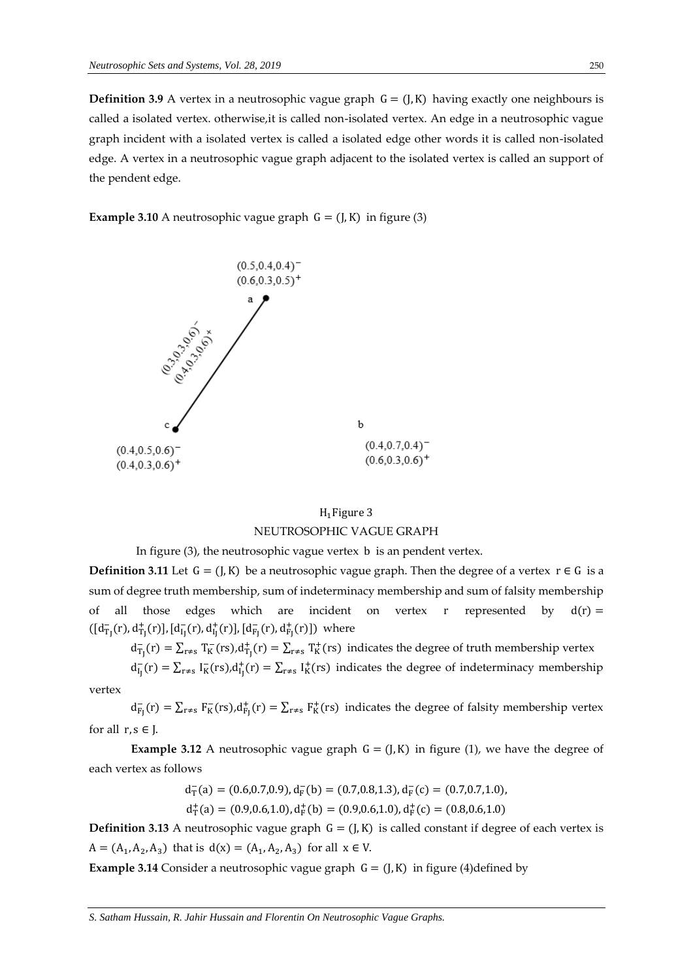**Definition 3.9** A vertex in a neutrosophic vague graph  $G = (J, K)$  having exactly one neighbours is called a isolated vertex. otherwise,it is called non-isolated vertex. An edge in a neutrosophic vague graph incident with a isolated vertex is called a isolated edge other words it is called non-isolated edge. A vertex in a neutrosophic vague graph adjacent to the isolated vertex is called an support of the pendent edge.

**Example 3.10** A neutrosophic vague graph  $G = (J, K)$  in figure (3)



# $H_1$ Figure 3 NEUTROSOPHIC VAGUE GRAPH

In figure  $(3)$ , the neutrosophic vague vertex b is an pendent vertex.

**Definition 3.11** Let  $G = (J, K)$  be a neutrosophic vague graph. Then the degree of a vertex  $r \in G$  is a sum of degree truth membership, sum of indeterminacy membership and sum of falsity membership of all those edges which are incident on vertex r represented by  $d(r) =$  $([d_{T_J}^-(r), d_{T_J}^+(r)], [d_{I_J}^-(r), d_{I_J}^+(r)], [d_{F_J}^-(r), d_{F_J}^+(r)])$  where

 $d_{T_J}^-(r) = \sum_{r \neq s} T_K^-(rs), d_{T_J}^+(r) = \sum_{r \neq s} T_K^+(rs)$  indicates the degree of truth membership vertex

 $d_{I_J}^-(r) = \sum_{r \neq s} I_K^-(rs), d_{I_J}^+(r) = \sum_{r \neq s} I_K^+(rs)$  indicates the degree of indeterminacy membership

vertex

 $d_{F_J}^-(r) = \sum_{r \neq s} F_K^-(rs), d_{F_J}^+(r) = \sum_{r \neq s} F_K^+(rs)$  indicates the degree of falsity membership vertex for all  $r, s \in J$ .

**Example 3.12** A neutrosophic vague graph  $G = (J, K)$  in figure (1), we have the degree of each vertex as follows

$$
d^-_T(a)=(0.6,0.7,0.9), d^-_F(b)=(0.7,0.8,1.3), d^-_F(c)=(0.7,0.7,1.0),\\
$$

$$
d^+_T(a)=(0.9,0.6,1.0), d^+_F(b)=(0.9,0.6,1.0), d^+_F(c)=(0.8,0.6,1.0)
$$

**Definition 3.13** A neutrosophic vague graph  $G = (J, K)$  is called constant if degree of each vertex is  $A = (A_1, A_2, A_3)$  that is  $d(x) = (A_1, A_2, A_3)$  for all  $x \in V$ .

**Example 3.14** Consider a neutrosophic vague graph  $G = (J, K)$  in figure (4)defined by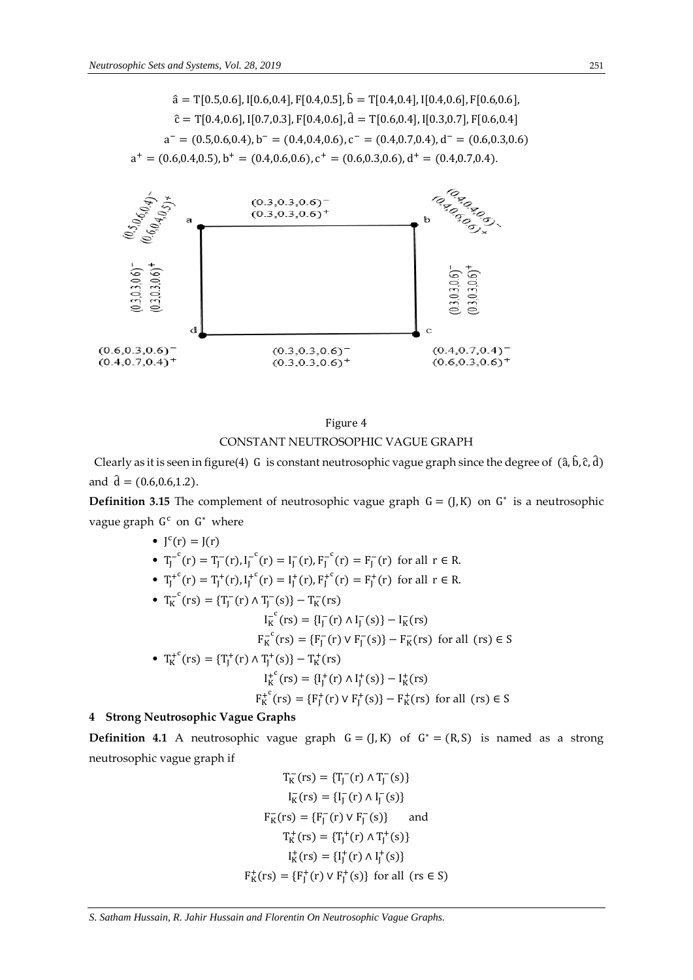$$
\hat{a} = T[0.5, 0.6], I[0.6, 0.4], F[0.4, 0.5], \hat{b} = T[0.4, 0.4], I[0.4, 0.6], F[0.6, 0.6],
$$

$$
\hat{c} = T[0.4, 0.6], I[0.7, 0.3], F[0.4, 0.6], \hat{d} = T[0.6, 0.4], I[0.3, 0.7], F[0.6, 0.4]
$$

$$
a^- = (0.5, 0.6, 0.4), b^- = (0.4, 0.4, 0.6), c^- = (0.4, 0.7, 0.4), d^- = (0.6, 0.3, 0.6)
$$

$$
a^+ = (0.6, 0.4, 0.5), b^+ = (0.4, 0.6, 0.6), c^+ = (0.6, 0.3, 0.6), d^+ = (0.4, 0.7, 0.4).
$$



# Figure 4 CONSTANT NEUTROSOPHIC VAGUE GRAPH

Clearly as it is seen in figure(4) G is constant neutrosophic vague graph since the degree of  $(\hat{a}, \hat{b}, \hat{c}, \hat{d})$ and  $\hat{d} = (0.6, 0.6, 1.2)$ .

**Definition 3.15** The complement of neutrosophic vague graph  $G = (J, K)$  on  $G^*$  is a neutrosophic vague graph G<sup>c</sup> on G<sup>\*</sup> where

\n- \n
$$
J^c(r) = J(r)
$$
\n
\n- \n
$$
T_J^{-c}(r) = T_J^{-}(r), I_J^{-c}(r) = I_J^{-}(r), F_J^{-c}(r) = F_J^{-}(r)
$$
\n for all  $r \in R$ .\n
\n- \n
$$
T_J^{+c}(r) = T_J^{+}(r), I_J^{+c}(r) = I_J^{+}(r), F_J^{+c}(r) = F_J^{+}(r)
$$
\n for all  $r \in R$ .\n
\n- \n
$$
T_K^{-c}(rs) = \{T_J^{-}(r) \land T_J^{-}(s)\} - T_K^{-}(rs)
$$
\n
$$
I_K^{-c}(rs) = \{F_J^{-}(r) \lor F_J^{-}(s)\} - F_K^{-}(rs)
$$
\n for all  $(rs) \in S$ \n
\n- \n
$$
T_K^{+c}(rs) = \{T_J^{+}(r) \land T_J^{+}(s)\} - T_K^{+}(rs)
$$
\n
$$
I_K^{+c}(rs) = \{I_J^{+}(r) \land I_J^{+}(s)\} - I_K^{+}(rs)
$$
\n
$$
F_K^{+c}(rs) = \{F_J^{+}(r) \lor F_J^{+}(s)\} - F_K^{+}(rs)
$$
\n for all  $(rs) \in S$ \n
\n

## **4 Strong Neutrosophic Vague Graphs**

**Definition 4.1** A neutrosophic vague graph  $G = (J, K)$  of  $G^* = (R, S)$  is named as a strong neutrosophic vague graph if

$$
T_K^-(rs) = \{T_J^-(r) \land T_J^-(s)\}
$$
  
\n
$$
I_K^-(rs) = \{I_J^-(r) \land I_J^-(s)\}
$$
  
\n
$$
F_K^-(rs) = \{F_J^-(r) \lor F_J^-(s)\}
$$
 and  
\n
$$
T_K^+(rs) = \{T_J^+(r) \land T_J^+(s)\}
$$
  
\n
$$
I_K^+(rs) = \{I_J^+(r) \land I_J^+(s)\}
$$
  
\n
$$
F_K^+(rs) = \{F_J^+(r) \lor F_J^+(s)\}
$$
 for all  $(rs \in S)$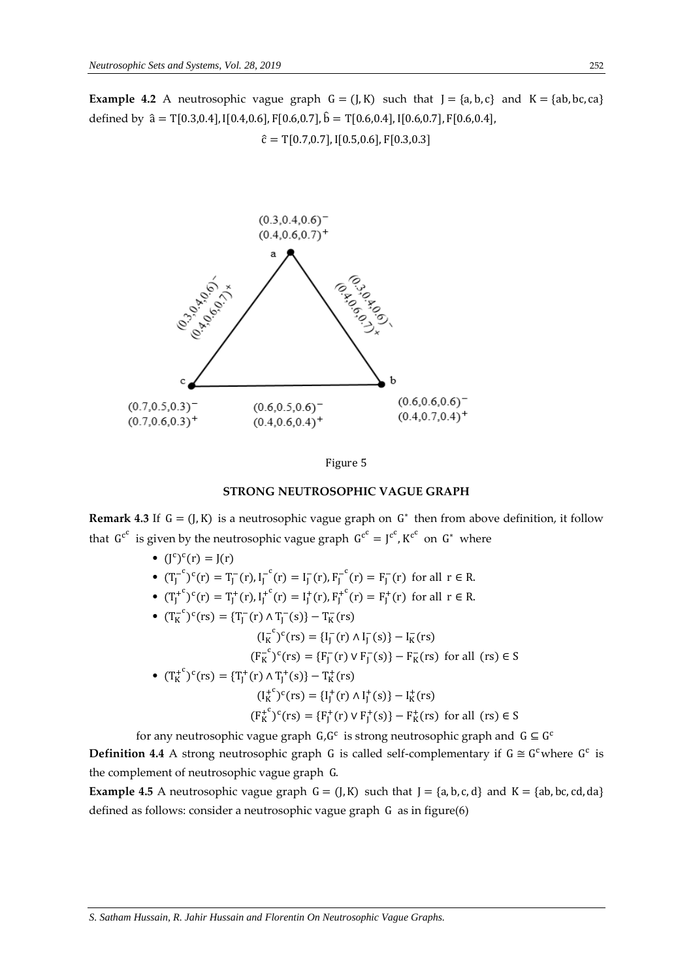**Example 4.2** A neutrosophic vague graph  $G = (J, K)$  such that  $J = \{a, b, c\}$  and  $K = \{ab, bc, ca\}$ defined by  $\hat{a} = T[0.3, 0.4], I[0.4, 0.6], F[0.6, 0.7], \hat{b} = T[0.6, 0.4], I[0.6, 0.7], F[0.6, 0.4],$  $\hat{c} = T[0.7, 0.7],$   $I[0.5, 0.6],$   $F[0.3, 0.3]$ 





#### **STRONG NEUTROSOPHIC VAGUE GRAPH**

**Remark 4.3** If  $G = (J, K)$  is a neutrosophic vague graph on  $G^*$  then from above definition, it follow that  $G^{c^c}$  is given by the neutrosophic vague graph  $G^{c^c} = J^{c^c}$ ,  $K^{c^c}$  on  $G^*$  where

- $(J^c)^c(r) = J(r)$
- $(T_J^{-c})^c(r) = T_J^{-}(r), I_J^{-c}(r) = I_J^{-}(r), F_J^{-c}(r) = F_J^{-}(r)$  for all  $r \in R$ .
- $(T_J^{+c})^c(r) = T_J^+(r), I_J^{+c}(r) = I_J^+(r), F_J^{+c}(r) = F_J^+(r)$  for all  $r \in R$ .
- $(T_K^{-c})^c(rs) = {T_J^-(r) \wedge T_J^-(s)} T_K^-(rs)$  $(I_K^{-c})^c(rs) = {I_J^-(r) \wedge I_J^-(s)} - I_K^-(rs)$  $(F_K^{-c})^c(rs) = {F_J^-(r) \vee F_J^-(s)} - F_K^-(rs)$  for all  $(rs) \in S$ •  $(T_K^{+c})^c(rs) = {T_J^+(r) \wedge T_J^+(s)} - T_K^+(rs)$  $(I_K^+{}^c)^c(rs) = {I_J^+(r) \wedge I_J^+(s)} - I_K^+(rs)$  $(F_K^+)^c(rs) = {F_J^+(r) \vee F_J^+(s)} - F_K^+(rs)$  for all  $(rs) \in S$

for any neutrosophic vague graph  $G, G^c$  is strong neutrosophic graph and  $G \subseteq G^c$ **Definition 4.4** A strong neutrosophic graph G is called self-complementary if  $G \cong G^c$  where  $G^c$  is the complement of neutrosophic vague graph G.

**Example 4.5** A neutrosophic vague graph  $G = (J, K)$  such that  $J = \{a, b, c, d\}$  and  $K = \{ab, bc, cd, da\}$ defined as follows: consider a neutrosophic vague graph G as in figure(6)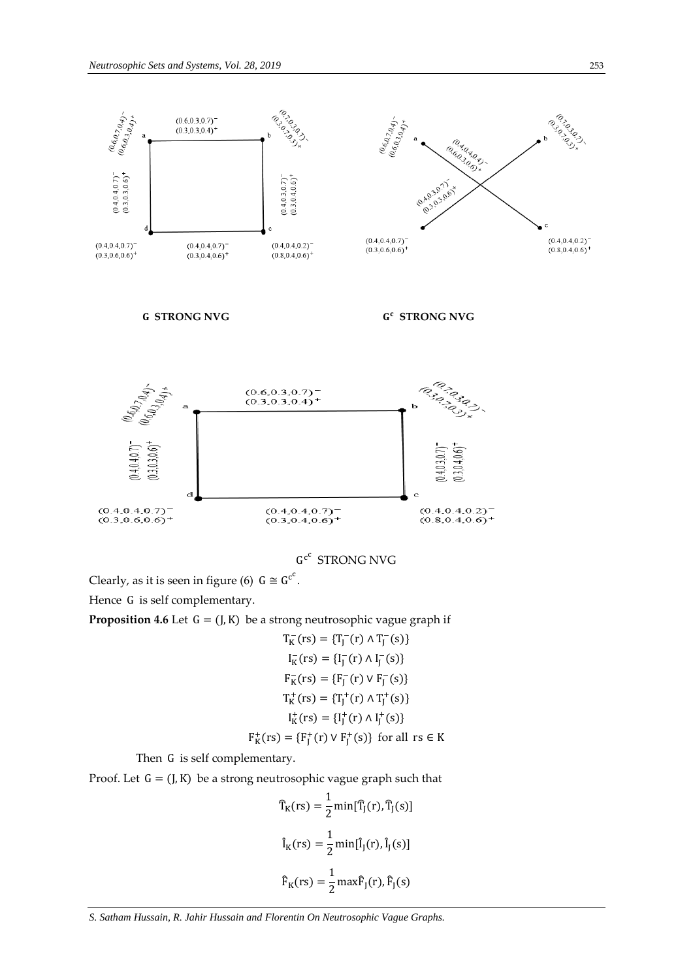

G<sup>c</sup> STRONG NVG

Clearly, as it is seen in figure (6)  $G \cong G^{c^c}$ .

Hence G is self complementary.

**Proposition 4.6** Let  $G = (J, K)$  be a strong neutrosophic vague graph if

$$
T_K^-(rs) = {T_J^-(r) \land T_J^-(s)}
$$
  
\n
$$
I_K^-(rs) = {I_J^-(r) \land I_J^-(s)}
$$
  
\n
$$
F_K^-(rs) = {F_J^-(r) \lor F_J^-(s)}
$$
  
\n
$$
T_K^+(rs) = {T_J^+(r) \land T_J^+(s)}
$$
  
\n
$$
I_K^+(rs) = {I_J^+(r) \land I_J^+(s)}
$$

$$
\mathsf{F}_{\mathsf{K}}^{+}(\mathsf{rs}) = \{\mathsf{F}_{\mathsf{J}}^{+}(\mathsf{r}) \vee \mathsf{F}_{\mathsf{J}}^{+}(\mathsf{s})\} \text{ for all } \mathsf{rs} \in \mathsf{K}
$$

Then G is self complementary.

Proof. Let  $G = (J, K)$  be a strong neutrosophic vague graph such that

$$
\widehat{T}_{K}(rs) = \frac{1}{2} \min[\widehat{T}_{J}(r), \widehat{T}_{J}(s)]
$$

$$
\widehat{I}_{K}(rs) = \frac{1}{2} \min[\widehat{I}_{J}(r), \widehat{I}_{J}(s)]
$$

$$
\widehat{F}_{K}(rs) = \frac{1}{2} \max \widehat{F}_{J}(r), \widehat{F}_{J}(s)
$$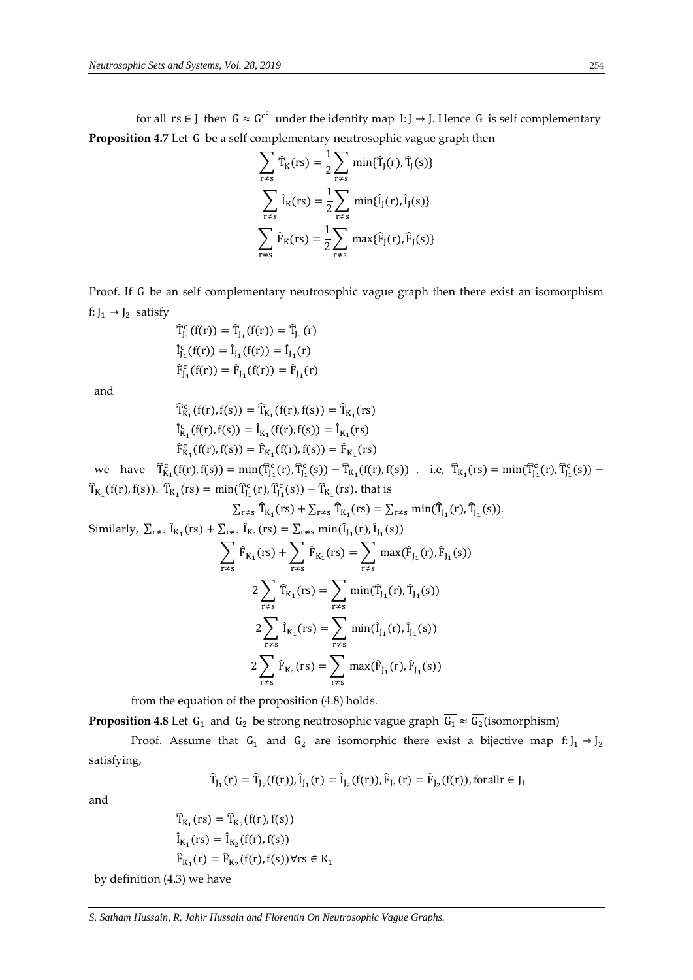for all rs ∈ J then  $G \approx G^{c^c}$  under the identity map I: J → J. Hence G is self complementary **Proposition 4.7** Let G be a self complementary neutrosophic vague graph then

$$
\sum_{r \neq s} \widehat{T}_{K}(rs) = \frac{1}{2} \sum_{r \neq s} \min{\{\widehat{T}_{j}(r), \widehat{T}_{j}(s)\}}
$$

$$
\sum_{r \neq s} \widehat{I}_{K}(rs) = \frac{1}{2} \sum_{r \neq s} \min{\{\widehat{I}_{j}(r), \widehat{I}_{j}(s)\}}
$$

$$
\sum_{r \neq s} \widehat{F}_{K}(rs) = \frac{1}{2} \sum_{r \neq s} \max{\{\widehat{F}_{j}(r), \widehat{F}_{j}(s)\}}
$$

Proof. If G be an self complementary neutrosophic vague graph then there exist an isomorphism f:  $J_1 \rightarrow J_2$  satisfy

$$
\begin{aligned} \widehat{T}_{J_1}^c(f(r)) &= \widehat{T}_{J_1}(f(r)) = \widehat{T}_{J_1}(r) \\ \widehat{I}_{J_1}^c(f(r)) &= \widehat{I}_{J_1}(f(r)) = \widehat{I}_{J_1}(r) \\ \widehat{F}_{J_1}^c(f(r)) &= \widehat{F}_{J_1}(f(r)) = \widehat{F}_{J_1}(r) \end{aligned}
$$

and

$$
\begin{aligned} \widehat{T}^c_{K_1}(f(r), f(s)) &= \widehat{T}_{K_1}(f(r), f(s)) = \widehat{T}_{K_1}(rs) \\ \widehat{I}^c_{K_1}(f(r), f(s)) &= \widehat{I}_{K_1}(f(r), f(s)) = \widehat{I}_{K_1}(rs) \\ \widehat{F}^c_{K_1}(f(r), f(s)) &= \widehat{F}_{K_1}(f(r), f(s)) = \widehat{F}_{K_1}(rs) \end{aligned}
$$

we have  $\hat{T}_{K_1}^c(f(r), f(s)) = \min(\hat{T}_{J_1}^c(r), \hat{T}_{J_1}^c(s)) - \hat{T}_{K_1}^c(f(r), f(s))$ . i.e,  $\hat{T}_{K_1}^c(rs) = \min(\hat{T}_{J_1}^c(r), \hat{T}_{J_1}^c(s)) \widehat{T}_{K_1}(f(r), f(s))$ .  $\widehat{T}_{K_1}(rs) = \min(\widehat{T}_{J_1}^c(r), \widehat{T}_{J_1}^c(s)) - \widehat{T}_{K_1}(rs)$ . that is

$$
\sum_{r \neq s} \hat{T}_{K_1}(rs) + \sum_{r \neq s} \hat{T}_{K_1}(rs) = \sum_{r \neq s} \min(\hat{T}_{J_1}(r), \hat{T}_{J_1}(s)).
$$

Similarly, 
$$
\sum_{r \neq s} \hat{I}_{K_1}(rs) + \sum_{r \neq s} \hat{I}_{K_1}(rs) = \sum_{r \neq s} \min(\hat{I}_{J_1}(r), \hat{I}_{J_1}(s))
$$
  
\n
$$
\sum_{r \neq s} \hat{F}_{K_1}(rs) + \sum_{r \neq s} \hat{F}_{K_1}(rs) = \sum_{r \neq s} \max(\hat{F}_{J_1}(r), \hat{F}_{J_1}(s))
$$
\n
$$
2 \sum_{r \neq s} \hat{T}_{K_1}(rs) = \sum_{r \neq s} \min(\hat{T}_{J_1}(r), \hat{T}_{J_1}(s))
$$
\n
$$
2 \sum_{r \neq s} \hat{I}_{K_1}(rs) = \sum_{r \neq s} \min(\hat{I}_{J_1}(r), \hat{I}_{J_1}(s))
$$
\n
$$
2 \sum_{r \neq s} \hat{F}_{K_1}(rs) = \sum_{r \neq s} \max(\hat{F}_{J_1}(r), \hat{F}_{J_1}(s))
$$

from the equation of the proposition (4.8) holds.

**Proposition 4.8** Let  $G_1$  and  $G_2$  be strong neutrosophic vague graph  $G_1 \approx G_2$  (isomorphism)

Proof. Assume that  $G_1$  and  $G_2$  are isomorphic there exist a bijective map  $f: J_1 \rightarrow J_2$ satisfying,

$$
\widehat{T}_{J_1}(r)=\widehat{T}_{J_2}(f(r)), \hat{I}_{J_1}(r)=\hat{I}_{J_2}(f(r)), \hat{F}_{J_1}(r)=\hat{F}_{J_2}(f(r)), \text{for all } r\in J_1
$$

and

$$
\begin{aligned} \widehat{T}_{K_1}(rs) &= \widehat{T}_{K_2}(f(r), f(s))\\ \widehat{I}_{K_1}(rs) &= \widehat{I}_{K_2}(f(r), f(s))\\ \widehat{F}_{K_1}(r) &= \widehat{F}_{K_2}(f(r), f(s)) \forall rs \in K_1 \end{aligned}
$$

by definition (4.3) we have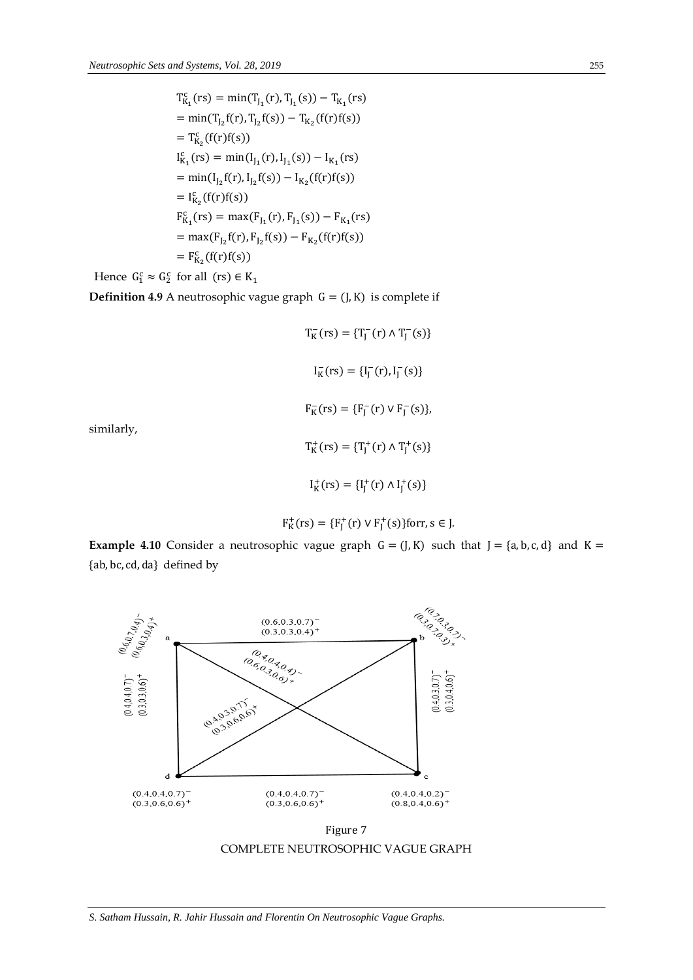c

$$
T_{K_1}^c(rs) = min(T_{J_1}(r), T_{J_1}(s)) - T_{K_1}(rs)
$$
  
\n
$$
= min(T_{J_2}f(r), T_{J_2}f(s)) - T_{K_2}(f(r)f(s))
$$
  
\n
$$
= T_{K_2}^c(f(r)f(s))
$$
  
\n
$$
I_{K_1}^c(rs) = min(I_{J_1}(r), I_{J_1}(s)) - I_{K_1}(rs)
$$
  
\n
$$
= min(I_{J_2}f(r), I_{J_2}f(s)) - I_{K_2}(f(r)f(s))
$$
  
\n
$$
= I_{K_2}^c(f(r)f(s))
$$
  
\n
$$
F_{K_1}^c(rs) = max(F_{J_1}(r), F_{J_1}(s)) - F_{K_1}(rs)
$$
  
\n
$$
= max(F_{J_2}f(r), F_{J_2}f(s)) - F_{K_2}(f(r)f(s))
$$
  
\n
$$
= F_{K_2}^c(f(r)f(s))
$$

Hence  $G_1^c \approx G_2^c$  for all  $(rs) \in K_1$ 

similarly,

**Definition 4.9** A neutrosophic vague graph  $G = (J, K)$  is complete if

 $T_K^-(rs) = {T_J^-(r) \wedge T_J^-(s)}$  $I_K^-(rs) = {I_J^-(r), I_J^-(s)}$  $F_K^-(rs) = {F_J^-(r) \vee F_J^-(s)},$  $T_K^+(rs) = {T_J^+(r) \wedge T_J^+(s)}$  $I_K^+(rs) = {I_J^+(r) \wedge I_J^+(s)}$ 

$$
F_K^+(rs) = \{F_J^+(r) \vee F_J^+(s)\}
$$
for r, s \in J.

**Example 4.10** Consider a neutrosophic vague graph  $G = (J, K)$  such that  $J = \{a, b, c, d\}$  and  $K =$ {ab, bc, cd, da} defined by



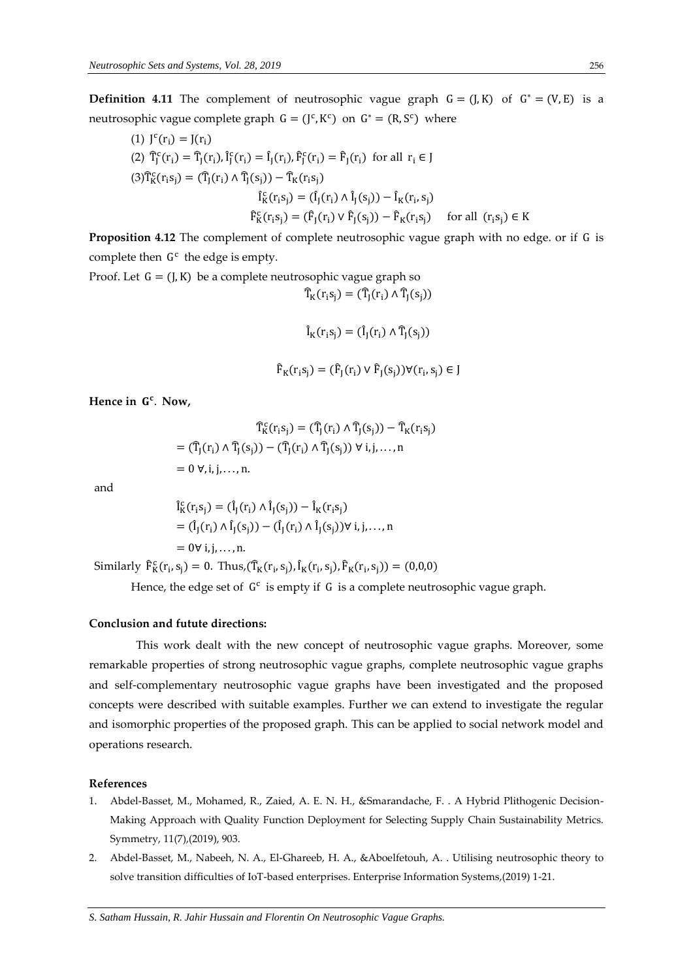**Definition 4.11** The complement of neutrosophic vague graph  $G = (J, K)$  of  $G^* = (V, E)$  is a neutrosophic vague complete graph  $G = (J^c, K^c)$  on  $G^* = (R, S^c)$  where

(1) 
$$
J^{c}(r_{i}) = J(r_{i})
$$
  
\n(2) 
$$
\hat{T}_{j}^{c}(r_{i}) = \hat{T}_{j}(r_{i}), \hat{I}_{j}^{c}(r_{i}) = \hat{I}_{j}(r_{i}), \hat{F}_{j}^{c}(r_{i}) = \hat{F}_{j}(r_{i}) \text{ for all } r_{i} \in J
$$
  
\n(3) 
$$
\hat{T}_{K}^{c}(r_{i}s_{j}) = (\hat{T}_{j}(r_{i}) \land \hat{T}_{j}(s_{j})) - \hat{T}_{K}(r_{i}s_{j})
$$
  
\n
$$
\hat{I}_{K}^{c}(r_{i}s_{j}) = (\hat{I}_{j}(r_{i}) \land \hat{I}_{j}(s_{j})) - \hat{I}_{K}(r_{i},s_{j})
$$
  
\n
$$
\hat{F}_{K}^{c}(r_{i}s_{j}) = (\hat{F}_{j}(r_{i}) \lor \hat{F}_{j}(s_{j})) - \hat{F}_{K}(r_{i}s_{j}) \text{ for all } (r_{i}s_{j}) \in K
$$

**Proposition 4.12** The complement of complete neutrosophic vague graph with no edge. or if G is complete then  $G<sup>c</sup>$  the edge is empty.

Proof. Let  $G = (J, K)$  be a complete neutrosophic vague graph so  $\widehat{T}_{K}(r_{i}s_{i}) = (\widehat{T}_{I}(r_{i}) \wedge \widehat{T}_{I}(s_{i}))$ 

$$
\hat{I}_K(r_i s_j) = (\hat{I}_J(r_i) \wedge \hat{T}_J(s_j))
$$

$$
\widehat{F}_K(r_i s_j) = (\widehat{F}_J(r_i) \vee \widehat{F}_J(s_j)) \forall (r_i, s_j) \in J
$$

**Hence in**  . **Now,**

$$
\widehat{T}_{K}^{c}(r_{i}s_{j}) = (\widehat{T}_{J}(r_{i}) \wedge \widehat{T}_{J}(s_{j})) - \widehat{T}_{K}(r_{i}s_{j})
$$

$$
= (\widehat{T}_{J}(r_{i}) \wedge \widehat{T}_{J}(s_{j})) - (\widehat{T}_{J}(r_{i}) \wedge \widehat{T}_{J}(s_{j})) \forall i, j, ..., n
$$

$$
= 0 \forall, i, j, ..., n.
$$

and

$$
\begin{aligned} \hat{\mathbf{l}}_{\mathbf{K}}^c(\mathbf{r}_i\mathbf{s}_j) &= (\hat{\mathbf{l}}_J(\mathbf{r}_i) \wedge \hat{\mathbf{l}}_J(\mathbf{s}_j)) - \hat{\mathbf{l}}_{\mathbf{K}}(\mathbf{r}_i\mathbf{s}_j) \\ &= (\hat{\mathbf{l}}_J(\mathbf{r}_i) \wedge \hat{\mathbf{l}}_J(\mathbf{s}_j)) - (\hat{\mathbf{l}}_J(\mathbf{r}_i) \wedge \hat{\mathbf{l}}_J(\mathbf{s}_j)) \forall \ \mathbf{i}, \mathbf{j}, \dots, \mathbf{n} \\ &= 0 \forall \ \mathbf{i}, \mathbf{j}, \dots, \mathbf{n}. \end{aligned}
$$

Similarly  $\hat{F}_{K}^{c}(r_{i}, s_{j}) = 0$ . Thus,  $(\hat{T}_{K}(r_{i}, s_{j}), \hat{I}_{K}(r_{i}, s_{j}), \hat{F}_{K}(r_{i}, s_{j})) = (0, 0, 0)$ 

Hence, the edge set of  $G<sup>c</sup>$  is empty if G is a complete neutrosophic vague graph.

#### **Conclusion and futute directions:**

This work dealt with the new concept of neutrosophic vague graphs. Moreover, some remarkable properties of strong neutrosophic vague graphs, complete neutrosophic vague graphs and self-complementary neutrosophic vague graphs have been investigated and the proposed concepts were described with suitable examples. Further we can extend to investigate the regular and isomorphic properties of the proposed graph. This can be applied to social network model and operations research.

#### **References**

- 1. Abdel-Basset, M., Mohamed, R., Zaied, A. E. N. H., &Smarandache, F. . A Hybrid Plithogenic Decision-Making Approach with Quality Function Deployment for Selecting Supply Chain Sustainability Metrics. Symmetry, 11(7),(2019), 903.
- 2. Abdel-Basset, M., Nabeeh, N. A., El-Ghareeb, H. A., &Aboelfetouh, A. . Utilising neutrosophic theory to solve transition difficulties of IoT-based enterprises. Enterprise Information Systems,(2019) 1-21.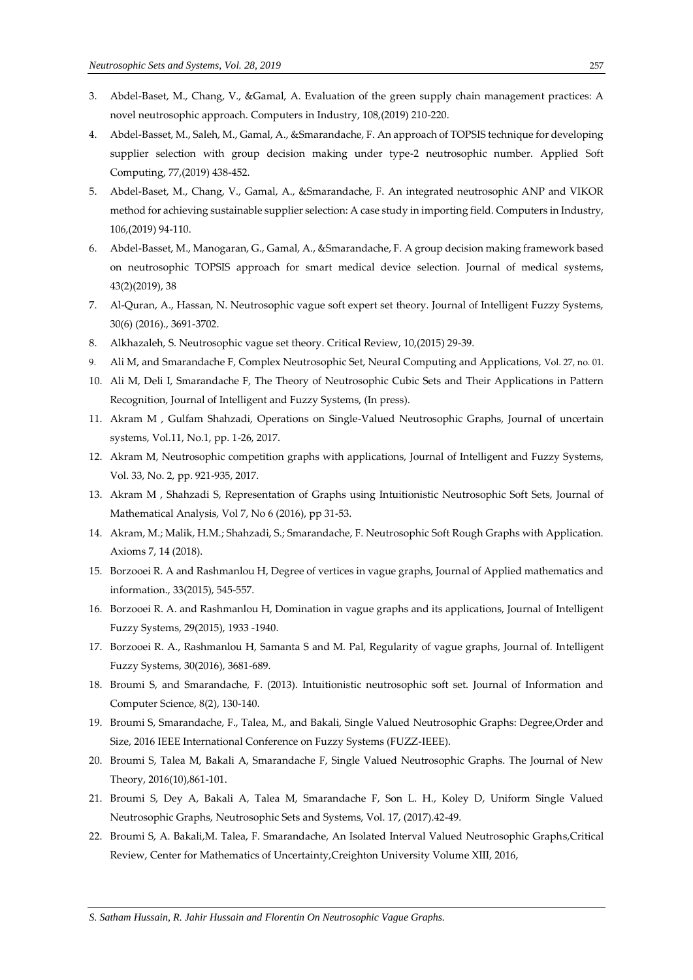- 3. Abdel-Baset, M., Chang, V., &Gamal, A. Evaluation of the green supply chain management practices: A novel neutrosophic approach. Computers in Industry, 108,(2019) 210-220.
- 4. Abdel-Basset, M., Saleh, M., Gamal, A., &Smarandache, F. An approach of TOPSIS technique for developing supplier selection with group decision making under type-2 neutrosophic number. Applied Soft Computing, 77,(2019) 438-452.
- 5. Abdel-Baset, M., Chang, V., Gamal, A., &Smarandache, F. An integrated neutrosophic ANP and VIKOR method for achieving sustainable supplier selection: A case study in importing field. Computers in Industry, 106,(2019) 94-110.
- 6. Abdel-Basset, M., Manogaran, G., Gamal, A., &Smarandache, F. A group decision making framework based on neutrosophic TOPSIS approach for smart medical device selection. Journal of medical systems, 43(2)(2019), 38
- 7. Al-Quran, A., Hassan, N. Neutrosophic vague soft expert set theory. Journal of Intelligent Fuzzy Systems, 30(6) (2016)., 3691-3702.
- 8. Alkhazaleh, S. Neutrosophic vague set theory. Critical Review, 10,(2015) 29-39.
- Ali M, and Smarandache F, Complex Neutrosophic Set, Neural Computing and Applications, Vol. 27, no. 01.
- 10. Ali M, Deli I, Smarandache F, The Theory of Neutrosophic Cubic Sets and Their Applications in Pattern Recognition, Journal of Intelligent and Fuzzy Systems, (In press).
- 11. Akram M , Gulfam Shahzadi, Operations on Single-Valued Neutrosophic Graphs, Journal of uncertain systems, Vol.11, No.1, pp. 1-26, 2017.
- 12. Akram M, Neutrosophic competition graphs with applications, Journal of Intelligent and Fuzzy Systems, Vol. 33, No. 2, pp. 921-935, 2017.
- 13. Akram M , Shahzadi S, Representation of Graphs using Intuitionistic Neutrosophic Soft Sets, Journal of Mathematical Analysis, Vol 7, No 6 (2016), pp 31-53.
- 14. Akram, M.; Malik, H.M.; Shahzadi, S.; Smarandache, F. Neutrosophic Soft Rough Graphs with Application. Axioms 7, 14 (2018).
- 15. Borzooei R. A and Rashmanlou H, Degree of vertices in vague graphs, Journal of Applied mathematics and information., 33(2015), 545-557.
- 16. Borzooei R. A. and Rashmanlou H, Domination in vague graphs and its applications, Journal of Intelligent Fuzzy Systems, 29(2015), 1933 -1940.
- 17. Borzooei R. A., Rashmanlou H, Samanta S and M. Pal, Regularity of vague graphs, Journal of. Intelligent Fuzzy Systems, 30(2016), 3681-689.
- 18. Broumi S, and Smarandache, F. (2013). Intuitionistic neutrosophic soft set. Journal of Information and Computer Science, 8(2), 130-140.
- 19. Broumi S, Smarandache, F., Talea, M., and Bakali, Single Valued Neutrosophic Graphs: Degree,Order and Size, 2016 IEEE International Conference on Fuzzy Systems (FUZZ-IEEE).
- 20. Broumi S, Talea M, Bakali A, Smarandache F, Single Valued Neutrosophic Graphs. The Journal of New Theory, 2016(10),861-101.
- 21. Broumi S, Dey A, Bakali A, Talea M, Smarandache F, Son L. H., Koley D, Uniform Single Valued Neutrosophic Graphs, Neutrosophic Sets and Systems, Vol. 17, (2017).42-49.
- 22. Broumi S, A. Bakali,M. Talea, F. Smarandache, An Isolated Interval Valued Neutrosophic Graphs,Critical Review, Center for Mathematics of Uncertainty,Creighton University Volume XIII, 2016,